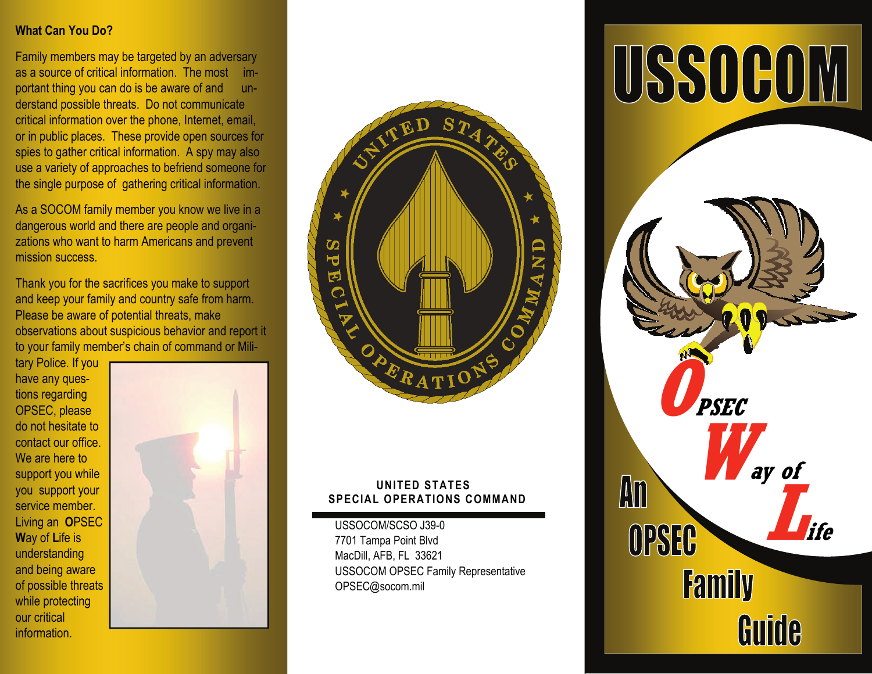# **What Can You Do?**

Family members may be targeted by an adversary as a source of critical information. The most important thing you can do is be aware of and understand possible threats. Do not communicate critical information over the phone, Internet, email, or in public places. These provide open sources for spies to gather critical information. A spy may also use a variety of approaches to befriend someone for the single purpose of gathering critical information.

As a SOCOM family member you know we live in a dangerous world and there are people and organizations who want to harm Americans and prevent mission success.

Thank you for the sacrifices you make to support and keep your family and country safe from harm. Please be aware of potential threats, make observations about suspicious behavior and report it to your family member's chain of command or Mili-

tary Police. If you have any questions regarding OPSEC, please do not hesitate to contact our office. We are here to support you while you support your service member. Living an **O**PSEC **W**ay of **L**ife is understanding and being aware of possible threats while protecting our critical information.





### **UNITED STATES SPECIAL OPERATIONS COMMAND**

USSOCOM/SCSO J39-0 7701 Tampa Point Blvd MacDill, AFB, FL 33621 USSOCOM OPSEC Family Representative OPSEC@socom.mil

# USSOCOM